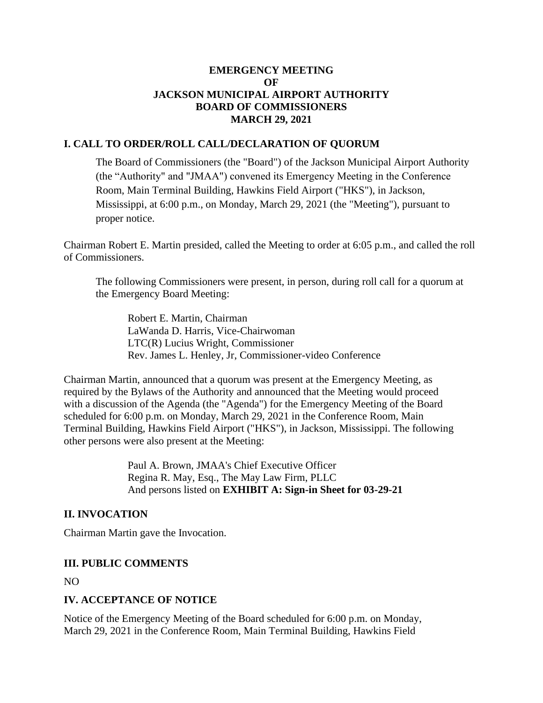### **EMERGENCY MEETING OF JACKSON MUNICIPAL AIRPORT AUTHORITY BOARD OF COMMISSIONERS MARCH 29, 2021**

## **I. CALL TO ORDER/ROLL CALL/DECLARATION OF QUORUM**

The Board of Commissioners (the "Board") of the Jackson Municipal Airport Authority (the "Authority" and "JMAA") convened its Emergency Meeting in the Conference Room, Main Terminal Building, Hawkins Field Airport ("HKS"), in Jackson, Mississippi, at 6:00 p.m., on Monday, March 29, 2021 (the "Meeting"), pursuant to proper notice.

Chairman Robert E. Martin presided, called the Meeting to order at 6:05 p.m., and called the roll of Commissioners.

The following Commissioners were present, in person, during roll call for a quorum at the Emergency Board Meeting:

Robert E. Martin, Chairman LaWanda D. Harris, Vice-Chairwoman LTC(R) Lucius Wright, Commissioner Rev. James L. Henley, Jr, Commissioner-video Conference

Chairman Martin, announced that a quorum was present at the Emergency Meeting, as required by the Bylaws of the Authority and announced that the Meeting would proceed with a discussion of the Agenda (the "Agenda") for the Emergency Meeting of the Board scheduled for 6:00 p.m. on Monday, March 29, 2021 in the Conference Room, Main Terminal Building, Hawkins Field Airport ("HKS"), in Jackson, Mississippi. The following other persons were also present at the Meeting:

> Paul A. Brown, JMAA's Chief Executive Officer Regina R. May, Esq., The May Law Firm, PLLC And persons listed on **EXHIBIT A: Sign-in Sheet for 03-29-21**

### **II. INVOCATION**

Chairman Martin gave the Invocation.

### **III. PUBLIC COMMENTS**

NO

## **IV. ACCEPTANCE OF NOTICE**

Notice of the Emergency Meeting of the Board scheduled for 6:00 p.m. on Monday, March 29, 2021 in the Conference Room, Main Terminal Building, Hawkins Field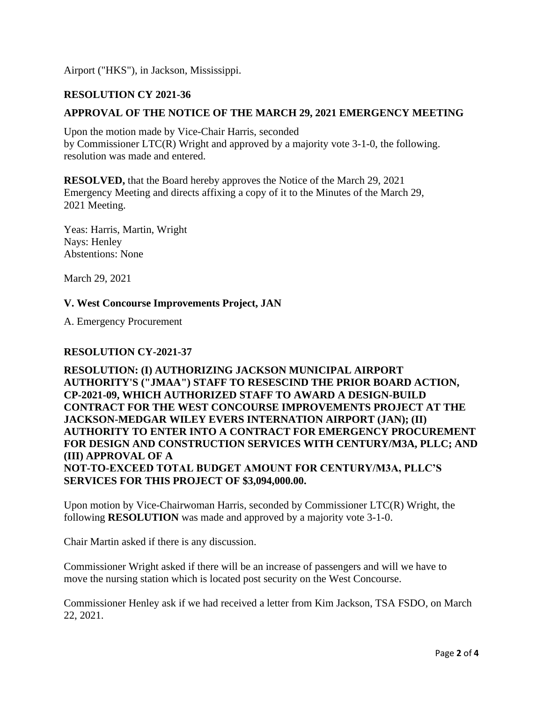Airport ("HKS"), in Jackson, Mississippi.

# **RESOLUTION CY 2021-36**

# **APPROVAL OF THE NOTICE OF THE MARCH 29, 2021 EMERGENCY MEETING**

Upon the motion made by Vice-Chair Harris, seconded by Commissioner LTC(R) Wright and approved by a majority vote 3-1-0, the following. resolution was made and entered.

**RESOLVED,** that the Board hereby approves the Notice of the March 29, 2021 Emergency Meeting and directs affixing a copy of it to the Minutes of the March 29, 2021 Meeting.

Yeas: Harris, Martin, Wright Nays: Henley Abstentions: None

March 29, 2021

### **V. West Concourse Improvements Project, JAN**

A. Emergency Procurement

### **RESOLUTION CY-2021-37**

**RESOLUTION: (I) AUTHORIZING JACKSON MUNICIPAL AIRPORT AUTHORITY'S ("JMAA") STAFF TO RESESCIND THE PRIOR BOARD ACTION, CP-2021-09, WHICH AUTHORIZED STAFF TO AWARD A DESIGN-BUILD CONTRACT FOR THE WEST CONCOURSE IMPROVEMENTS PROJECT AT THE JACKSON-MEDGAR WILEY EVERS INTERNATION AIRPORT (JAN); (II) AUTHORITY TO ENTER INTO A CONTRACT FOR EMERGENCY PROCUREMENT FOR DESIGN AND CONSTRUCTION SERVICES WITH CENTURY/M3A, PLLC; AND (III) APPROVAL OF A NOT-TO-EXCEED TOTAL BUDGET AMOUNT FOR CENTURY/M3A, PLLC'S SERVICES FOR THIS PROJECT OF \$3,094,000.00.**

Upon motion by Vice-Chairwoman Harris, seconded by Commissioner LTC(R) Wright, the following **RESOLUTION** was made and approved by a majority vote 3-1-0.

Chair Martin asked if there is any discussion.

Commissioner Wright asked if there will be an increase of passengers and will we have to move the nursing station which is located post security on the West Concourse.

Commissioner Henley ask if we had received a letter from Kim Jackson, TSA FSDO, on March 22, 2021.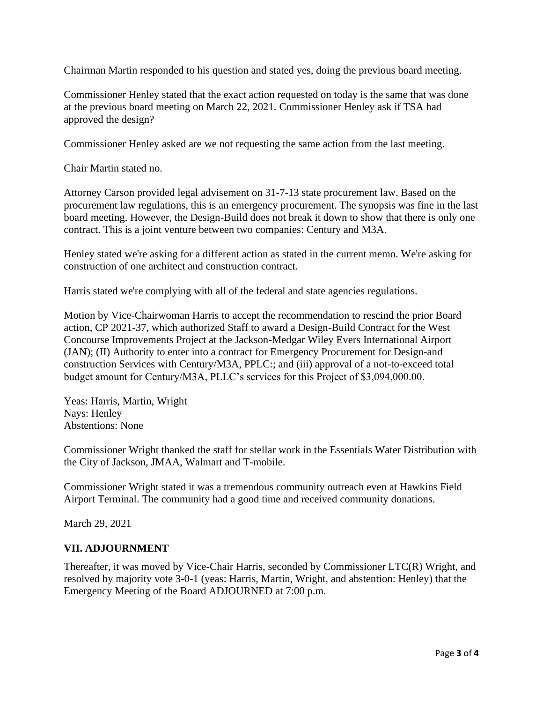Chairman Martin responded to his question and stated yes, doing the previous board meeting.

Commissioner Henley stated that the exact action requested on today is the same that was done at the previous board meeting on March 22, 2021. Commissioner Henley ask if TSA had approved the design?

Commissioner Henley asked are we not requesting the same action from the last meeting.

Chair Martin stated no.

Attorney Carson provided legal advisement on 31-7-13 state procurement law. Based on the procurement law regulations, this is an emergency procurement. The synopsis was fine in the last board meeting. However, the Design-Build does not break it down to show that there is only one contract. This is a joint venture between two companies: Century and M3A.

Henley stated we're asking for a different action as stated in the current memo. We're asking for construction of one architect and construction contract.

Harris stated we're complying with all of the federal and state agencies regulations.

Motion by Vice-Chairwoman Harris to accept the recommendation to rescind the prior Board action, CP 2021-37, which authorized Staff to award a Design-Build Contract for the West Concourse Improvements Project at the Jackson-Medgar Wiley Evers International Airport (JAN); (II) Authority to enter into a contract for Emergency Procurement for Design-and construction Services with Century/M3A, PPLC:; and (iii) approval of a not-to-exceed total budget amount for Century/M3A, PLLC's services for this Project of \$3,094,000.00.

Yeas: Harris, Martin, Wright Nays: Henley Abstentions: None

Commissioner Wright thanked the staff for stellar work in the Essentials Water Distribution with the City of Jackson, JMAA, Walmart and T-mobile.

Commissioner Wright stated it was a tremendous community outreach even at Hawkins Field Airport Terminal. The community had a good time and received community donations.

March 29, 2021

### **VII. ADJOURNMENT**

Thereafter, it was moved by Vice-Chair Harris, seconded by Commissioner LTC(R) Wright, and resolved by majority vote 3-0-1 (yeas: Harris, Martin, Wright, and abstention: Henley) that the Emergency Meeting of the Board ADJOURNED at 7:00 p.m.